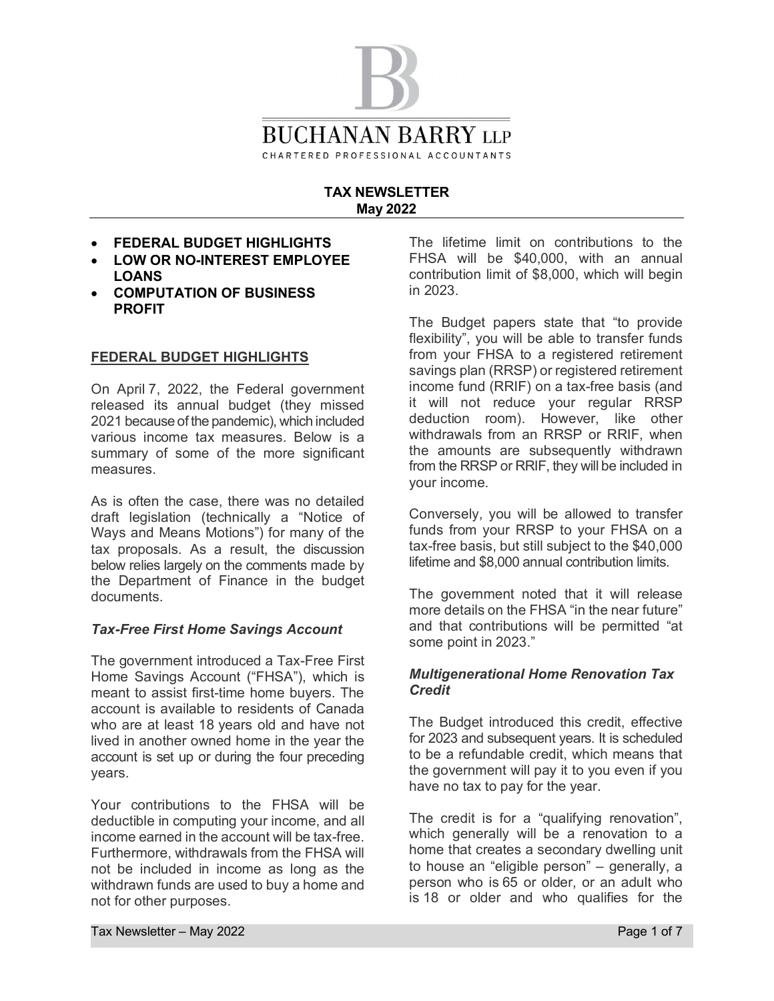

#### **TAX NEWSLETTER May 2022**

- · **FEDERAL BUDGET HIGHLIGHTS**
- · **LOW OR NO-INTEREST EMPLOYEE LOANS**
- · **COMPUTATION OF BUSINESS PROFIT**

#### **FEDERAL BUDGET HIGHLIGHTS**

On April 7, 2022, the Federal government released its annual budget (they missed 2021 because of the pandemic), which included various income tax measures. Below is a summary of some of the more significant measures.

As is often the case, there was no detailed draft legislation (technically a "Notice of Ways and Means Motions") for many of the tax proposals. As a result, the discussion below relies largely on the comments made by the Department of Finance in the budget documents.

## *Tax-Free First Home Savings Account*

The government introduced a Tax-Free First Home Savings Account ("FHSA"), which is meant to assist first-time home buyers. The account is available to residents of Canada who are at least 18 years old and have not lived in another owned home in the year the account is set up or during the four preceding years.

Your contributions to the FHSA will be deductible in computing your income, and all income earned in the account will be tax-free. Furthermore, withdrawals from the FHSA will not be included in income as long as the withdrawn funds are used to buy a home and not for other purposes.

The lifetime limit on contributions to the FHSA will be \$40,000, with an annual contribution limit of \$8,000, which will begin in 2023.

The Budget papers state that "to provide flexibility", you will be able to transfer funds from your FHSA to a registered retirement savings plan (RRSP) or registered retirement income fund (RRIF) on a tax-free basis (and it will not reduce your regular RRSP deduction room). However, like other withdrawals from an RRSP or RRIF, when the amounts are subsequently withdrawn from the RRSP or RRIF, they will be included in your income.

Conversely, you will be allowed to transfer funds from your RRSP to your FHSA on a tax-free basis, but still subject to the \$40,000 lifetime and \$8,000 annual contribution limits.

The government noted that it will release more details on the FHSA "in the near future" and that contributions will be permitted "at some point in 2023."

#### *Multigenerational Home Renovation Tax Credit*

The Budget introduced this credit, effective for 2023 and subsequent years. It is scheduled to be a refundable credit, which means that the government will pay it to you even if you have no tax to pay for the year.

The credit is for a "qualifying renovation", which generally will be a renovation to a home that creates a secondary dwelling unit to house an "eligible person" – generally, a person who is 65 or older, or an adult who is 18 or older and who qualifies for the

Tax Newsletter – May 2022 Page 1 of 7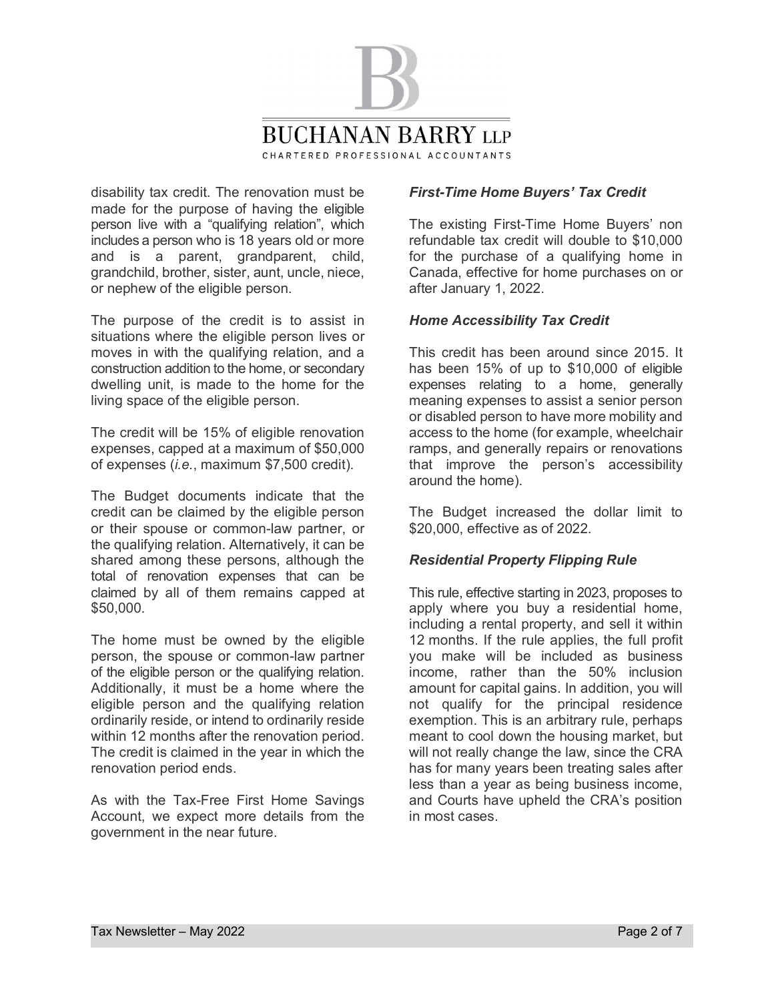

disability tax credit. The renovation must be made for the purpose of having the eligible person live with a "qualifying relation", which includes a person who is 18 years old or more and is a parent, grandparent, child, grandchild, brother, sister, aunt, uncle, niece, or nephew of the eligible person.

The purpose of the credit is to assist in situations where the eligible person lives or moves in with the qualifying relation, and a construction addition to the home, or secondary dwelling unit, is made to the home for the living space of the eligible person.

The credit will be 15% of eligible renovation expenses, capped at a maximum of \$50,000 of expenses (*i.e.*, maximum \$7,500 credit).

The Budget documents indicate that the credit can be claimed by the eligible person or their spouse or common-law partner, or the qualifying relation. Alternatively, it can be shared among these persons, although the total of renovation expenses that can be claimed by all of them remains capped at \$50,000.

The home must be owned by the eligible person, the spouse or common-law partner of the eligible person or the qualifying relation. Additionally, it must be a home where the eligible person and the qualifying relation ordinarily reside, or intend to ordinarily reside within 12 months after the renovation period. The credit is claimed in the year in which the renovation period ends.

As with the Tax-Free First Home Savings Account, we expect more details from the government in the near future.

# *First-Time Home Buyers' Tax Credit*

The existing First-Time Home Buyers' non refundable tax credit will double to \$10,000 for the purchase of a qualifying home in Canada, effective for home purchases on or after January 1, 2022.

## *Home Accessibility Tax Credit*

This credit has been around since 2015. It has been 15% of up to \$10,000 of eligible expenses relating to a home, generally meaning expenses to assist a senior person or disabled person to have more mobility and access to the home (for example, wheelchair ramps, and generally repairs or renovations that improve the person's accessibility around the home).

The Budget increased the dollar limit to \$20,000, effective as of 2022.

## *Residential Property Flipping Rule*

This rule, effective starting in 2023, proposes to apply where you buy a residential home, including a rental property, and sell it within 12 months. If the rule applies, the full profit you make will be included as business income, rather than the 50% inclusion amount for capital gains. In addition, you will not qualify for the principal residence exemption. This is an arbitrary rule, perhaps meant to cool down the housing market, but will not really change the law, since the CRA has for many years been treating sales after less than a year as being business income, and Courts have upheld the CRA's position in most cases.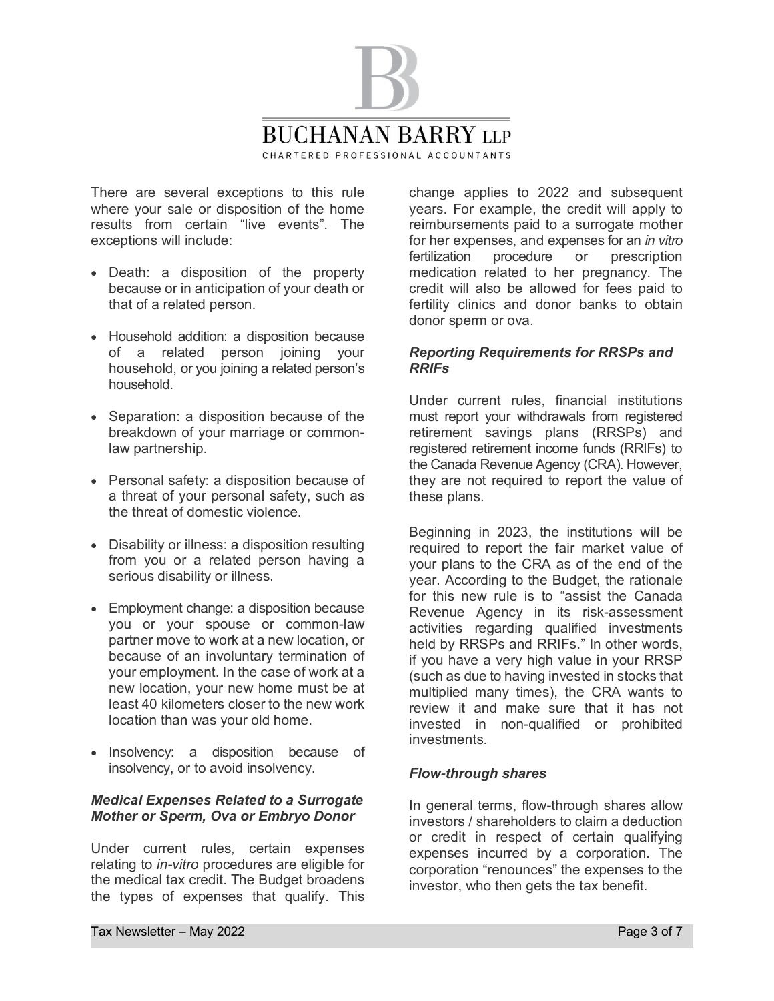

There are several exceptions to this rule where your sale or disposition of the home results from certain "live events". The exceptions will include:

- · Death: a disposition of the property because or in anticipation of your death or that of a related person.
- · Household addition: a disposition because of a related person joining your household, or you joining a related person's household.
- · Separation: a disposition because of the breakdown of your marriage or commonlaw partnership.
- · Personal safety: a disposition because of a threat of your personal safety, such as the threat of domestic violence.
- · Disability or illness: a disposition resulting from you or a related person having a serious disability or illness.
- · Employment change: a disposition because you or your spouse or common-law partner move to work at a new location, or because of an involuntary termination of your employment. In the case of work at a new location, your new home must be at least 40 kilometers closer to the new work location than was your old home.
- · Insolvency: a disposition because of insolvency, or to avoid insolvency.

#### *Medical Expenses Related to a Surrogate Mother or Sperm, Ova or Embryo Donor*

Under current rules, certain expenses relating to *in-vitro* procedures are eligible for the medical tax credit. The Budget broadens the types of expenses that qualify. This

change applies to 2022 and subsequent years. For example, the credit will apply to reimbursements paid to a surrogate mother for her expenses, and expenses for an *in vitro* fertilization procedure or prescription medication related to her pregnancy. The credit will also be allowed for fees paid to fertility clinics and donor banks to obtain donor sperm or ova.

## *Reporting Requirements for RRSPs and RRIFs*

Under current rules, financial institutions must report your withdrawals from registered retirement savings plans (RRSPs) and registered retirement income funds (RRIFs) to the Canada Revenue Agency (CRA). However, they are not required to report the value of these plans.

Beginning in 2023, the institutions will be required to report the fair market value of your plans to the CRA as of the end of the year. According to the Budget, the rationale for this new rule is to "assist the Canada Revenue Agency in its risk-assessment activities regarding qualified investments held by RRSPs and RRIFs." In other words, if you have a very high value in your RRSP (such as due to having invested in stocks that multiplied many times), the CRA wants to review it and make sure that it has not invested in non-qualified or prohibited investments.

## *Flow-through shares*

In general terms, flow-through shares allow investors / shareholders to claim a deduction or credit in respect of certain qualifying expenses incurred by a corporation. The corporation "renounces" the expenses to the investor, who then gets the tax benefit.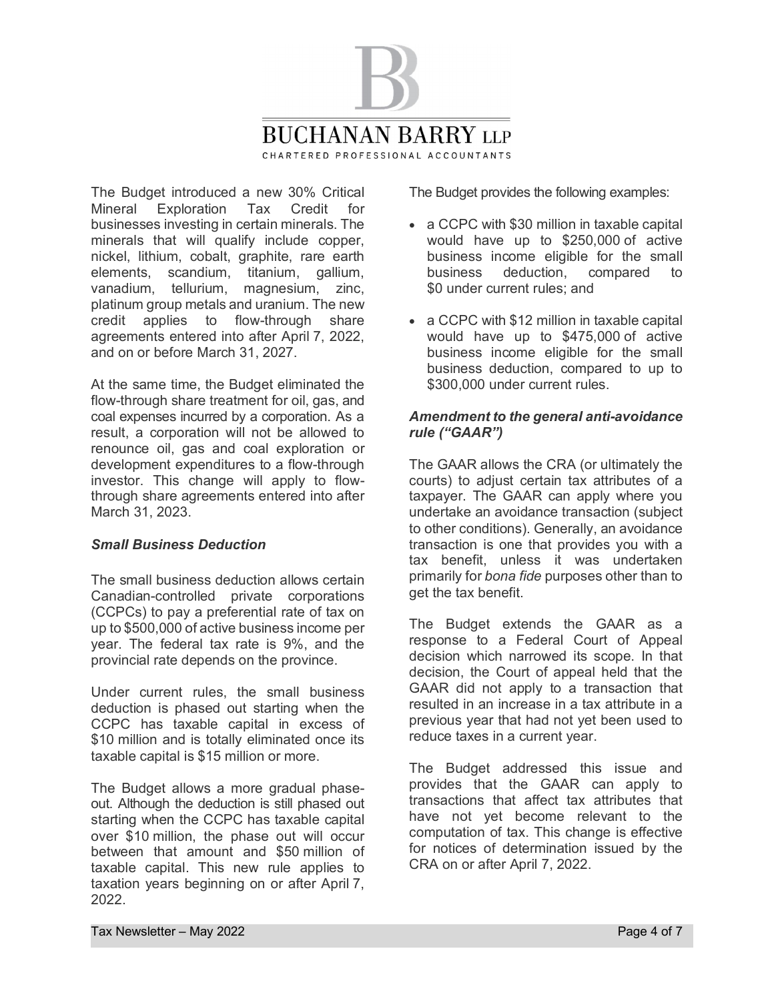

The Budget introduced a new 30% Critical Mineral Exploration Tax Credit for businesses investing in certain minerals. The minerals that will qualify include copper, nickel, lithium, cobalt, graphite, rare earth elements, scandium, titanium, gallium, vanadium, tellurium, magnesium, zinc, platinum group metals and uranium. The new credit applies to flow-through share agreements entered into after April 7, 2022, and on or before March 31, 2027.

At the same time, the Budget eliminated the flow-through share treatment for oil, gas, and coal expenses incurred by a corporation. As a result, a corporation will not be allowed to renounce oil, gas and coal exploration or development expenditures to a flow-through investor. This change will apply to flowthrough share agreements entered into after March 31, 2023.

## *Small Business Deduction*

The small business deduction allows certain Canadian-controlled private corporations (CCPCs) to pay a preferential rate of tax on up to \$500,000 of active business income per year. The federal tax rate is 9%, and the provincial rate depends on the province.

Under current rules, the small business deduction is phased out starting when the CCPC has taxable capital in excess of \$10 million and is totally eliminated once its taxable capital is \$15 million or more.

The Budget allows a more gradual phaseout. Although the deduction is still phased out starting when the CCPC has taxable capital over \$10 million, the phase out will occur between that amount and \$50 million of taxable capital. This new rule applies to taxation years beginning on or after April 7, 2022.

The Budget provides the following examples:

- · a CCPC with \$30 million in taxable capital would have up to \$250,000 of active business income eligible for the small business deduction, compared to \$0 under current rules; and
- · a CCPC with \$12 million in taxable capital would have up to \$475,000 of active business income eligible for the small business deduction, compared to up to \$300,000 under current rules.

## *Amendment to the general anti-avoidance rule ("GAAR")*

The GAAR allows the CRA (or ultimately the courts) to adjust certain tax attributes of a taxpayer. The GAAR can apply where you undertake an avoidance transaction (subject to other conditions). Generally, an avoidance transaction is one that provides you with a tax benefit, unless it was undertaken primarily for *bona fide* purposes other than to get the tax benefit.

The Budget extends the GAAR as a response to a Federal Court of Appeal decision which narrowed its scope. In that decision, the Court of appeal held that the GAAR did not apply to a transaction that resulted in an increase in a tax attribute in a previous year that had not yet been used to reduce taxes in a current year.

The Budget addressed this issue and provides that the GAAR can apply to transactions that affect tax attributes that have not yet become relevant to the computation of tax. This change is effective for notices of determination issued by the CRA on or after April 7, 2022.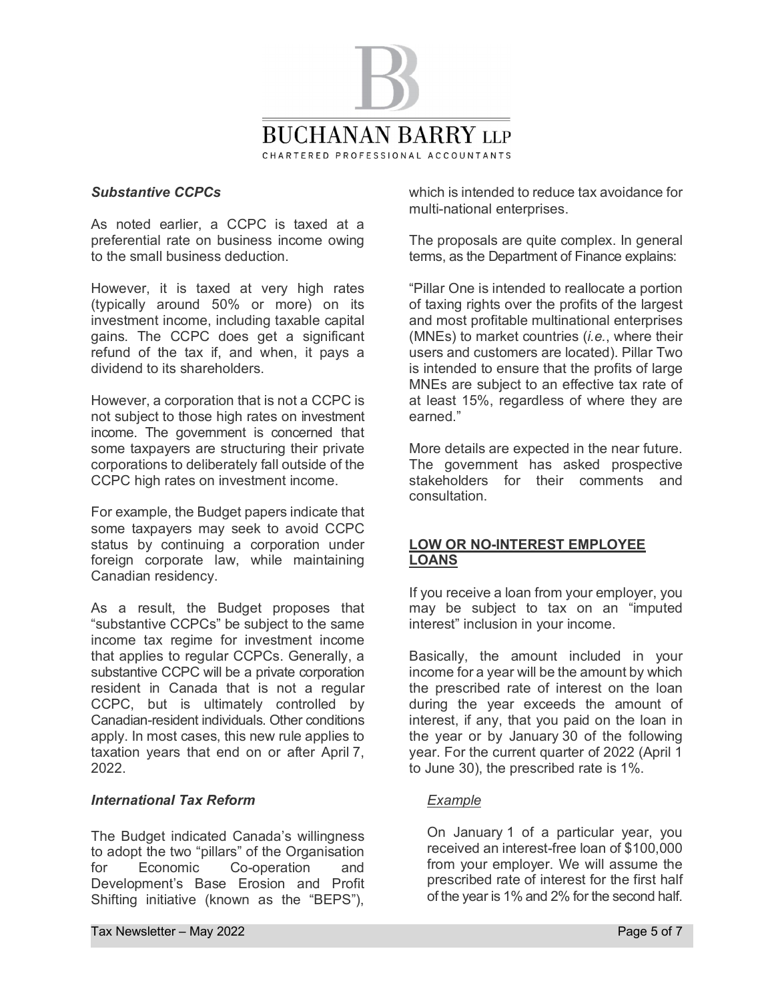

#### *Substantive CCPCs*

As noted earlier, a CCPC is taxed at a preferential rate on business income owing to the small business deduction.

However, it is taxed at very high rates (typically around 50% or more) on its investment income, including taxable capital gains. The CCPC does get a significant refund of the tax if, and when, it pays a dividend to its shareholders.

However, a corporation that is not a CCPC is not subject to those high rates on investment income. The government is concerned that some taxpayers are structuring their private corporations to deliberately fall outside of the CCPC high rates on investment income.

For example, the Budget papers indicate that some taxpayers may seek to avoid CCPC status by continuing a corporation under foreign corporate law, while maintaining Canadian residency.

As a result, the Budget proposes that "substantive CCPCs" be subject to the same income tax regime for investment income that applies to regular CCPCs. Generally, a substantive CCPC will be a private corporation resident in Canada that is not a regular CCPC, but is ultimately controlled by Canadian-resident individuals. Other conditions apply. In most cases, this new rule applies to taxation years that end on or after April 7, 2022.

#### *International Tax Reform*

The Budget indicated Canada's willingness to adopt the two "pillars" of the Organisation for Economic Co-operation and Development's Base Erosion and Profit Shifting initiative (known as the "BEPS"),

which is intended to reduce tax avoidance for multi-national enterprises.

The proposals are quite complex. In general terms, as the Department of Finance explains:

"Pillar One is intended to reallocate a portion of taxing rights over the profits of the largest and most profitable multinational enterprises (MNEs) to market countries (*i.e.*, where their users and customers are located). Pillar Two is intended to ensure that the profits of large MNEs are subject to an effective tax rate of at least 15%, regardless of where they are earned."

More details are expected in the near future. The government has asked prospective stakeholders for their comments and consultation.

## **LOW OR NO-INTEREST EMPLOYEE LOANS**

If you receive a loan from your employer, you may be subject to tax on an "imputed interest" inclusion in your income.

Basically, the amount included in your income for a year will be the amount by which the prescribed rate of interest on the loan during the year exceeds the amount of interest, if any, that you paid on the loan in the year or by January 30 of the following year. For the current quarter of 2022 (April 1 to June 30), the prescribed rate is 1%.

## *Example*

On January 1 of a particular year, you received an interest-free loan of \$100,000 from your employer. We will assume the prescribed rate of interest for the first half of the year is 1% and 2% for the second half.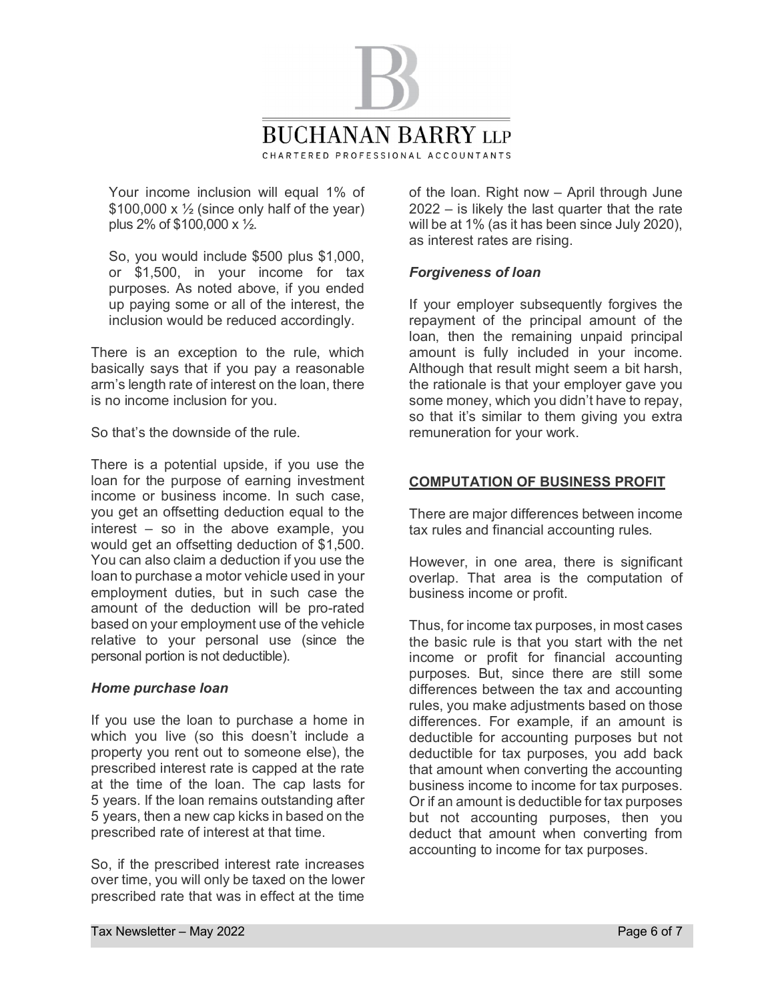

Your income inclusion will equal 1% of  $$100,000 \times \frac{1}{2}$  (since only half of the year) plus 2% of \$100,000 x ½.

So, you would include \$500 plus \$1,000, or \$1,500, in your income for tax purposes. As noted above, if you ended up paying some or all of the interest, the inclusion would be reduced accordingly.

There is an exception to the rule, which basically says that if you pay a reasonable arm's length rate of interest on the loan, there is no income inclusion for you.

So that's the downside of the rule.

There is a potential upside, if you use the loan for the purpose of earning investment income or business income. In such case, you get an offsetting deduction equal to the interest – so in the above example, you would get an offsetting deduction of \$1,500. You can also claim a deduction if you use the loan to purchase a motor vehicle used in your employment duties, but in such case the amount of the deduction will be pro-rated based on your employment use of the vehicle relative to your personal use (since the personal portion is not deductible).

## *Home purchase loan*

If you use the loan to purchase a home in which you live (so this doesn't include a property you rent out to someone else), the prescribed interest rate is capped at the rate at the time of the loan. The cap lasts for 5 years. If the loan remains outstanding after 5 years, then a new cap kicks in based on the prescribed rate of interest at that time.

So, if the prescribed interest rate increases over time, you will only be taxed on the lower prescribed rate that was in effect at the time

of the loan. Right now – April through June 2022 – is likely the last quarter that the rate will be at 1% (as it has been since July 2020), as interest rates are rising.

## *Forgiveness of loan*

If your employer subsequently forgives the repayment of the principal amount of the loan, then the remaining unpaid principal amount is fully included in your income. Although that result might seem a bit harsh, the rationale is that your employer gave you some money, which you didn't have to repay, so that it's similar to them giving you extra remuneration for your work.

## **COMPUTATION OF BUSINESS PROFIT**

There are major differences between income tax rules and financial accounting rules.

However, in one area, there is significant overlap. That area is the computation of business income or profit.

Thus, for income tax purposes, in most cases the basic rule is that you start with the net income or profit for financial accounting purposes. But, since there are still some differences between the tax and accounting rules, you make adjustments based on those differences. For example, if an amount is deductible for accounting purposes but not deductible for tax purposes, you add back that amount when converting the accounting business income to income for tax purposes. Or if an amount is deductible for tax purposes but not accounting purposes, then you deduct that amount when converting from accounting to income for tax purposes.